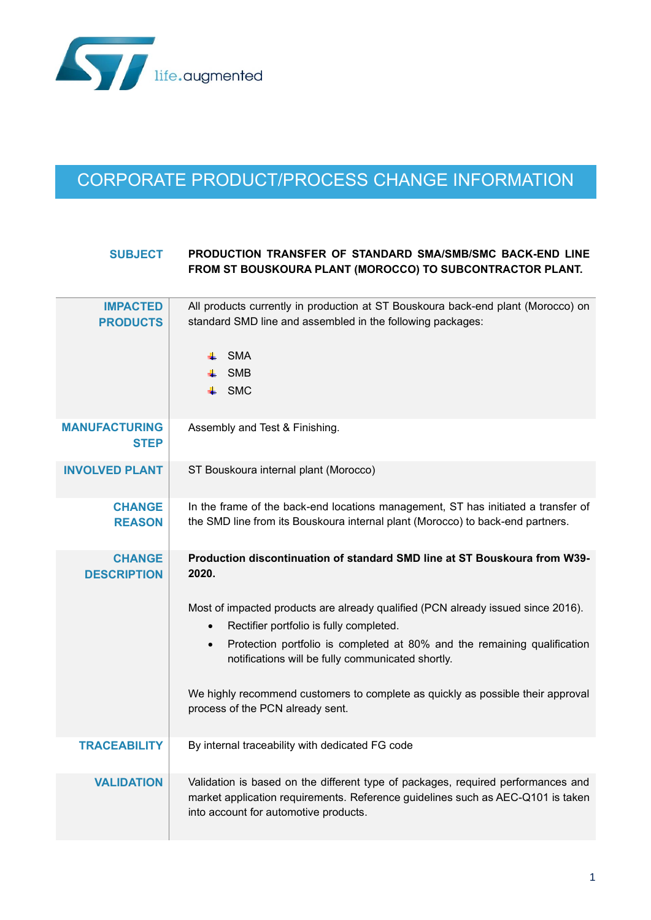

## CORPORATE PRODUCT/PROCESS CHANGE INFORMATION

## **SUBJECT PRODUCTION TRANSFER OF STANDARD SMA/SMB/SMC BACK-END LINE FROM ST BOUSKOURA PLANT (MOROCCO) TO SUBCONTRACTOR PLANT.**

| <b>IMPACTED</b><br><b>PRODUCTS</b>  | All products currently in production at ST Bouskoura back-end plant (Morocco) on<br>standard SMD line and assembled in the following packages:<br>SMA<br><b>SMB</b><br>$\leftarrow$ SMC                      |
|-------------------------------------|--------------------------------------------------------------------------------------------------------------------------------------------------------------------------------------------------------------|
| <b>MANUFACTURING</b><br><b>STEP</b> | Assembly and Test & Finishing.                                                                                                                                                                               |
| <b>INVOLVED PLANT</b>               | ST Bouskoura internal plant (Morocco)                                                                                                                                                                        |
| <b>CHANGE</b><br><b>REASON</b>      | In the frame of the back-end locations management, ST has initiated a transfer of<br>the SMD line from its Bouskoura internal plant (Morocco) to back-end partners.                                          |
| <b>CHANGE</b><br><b>DESCRIPTION</b> | Production discontinuation of standard SMD line at ST Bouskoura from W39-<br>2020.                                                                                                                           |
|                                     | Most of impacted products are already qualified (PCN already issued since 2016).<br>Rectifier portfolio is fully completed.<br>$\bullet$                                                                     |
|                                     | Protection portfolio is completed at 80% and the remaining qualification<br>$\bullet$<br>notifications will be fully communicated shortly.                                                                   |
|                                     | We highly recommend customers to complete as quickly as possible their approval<br>process of the PCN already sent.                                                                                          |
| <b>TRACEABILITY</b>                 | By internal traceability with dedicated FG code                                                                                                                                                              |
| <b>VALIDATION</b>                   | Validation is based on the different type of packages, required performances and<br>market application requirements. Reference guidelines such as AEC-Q101 is taken<br>into account for automotive products. |